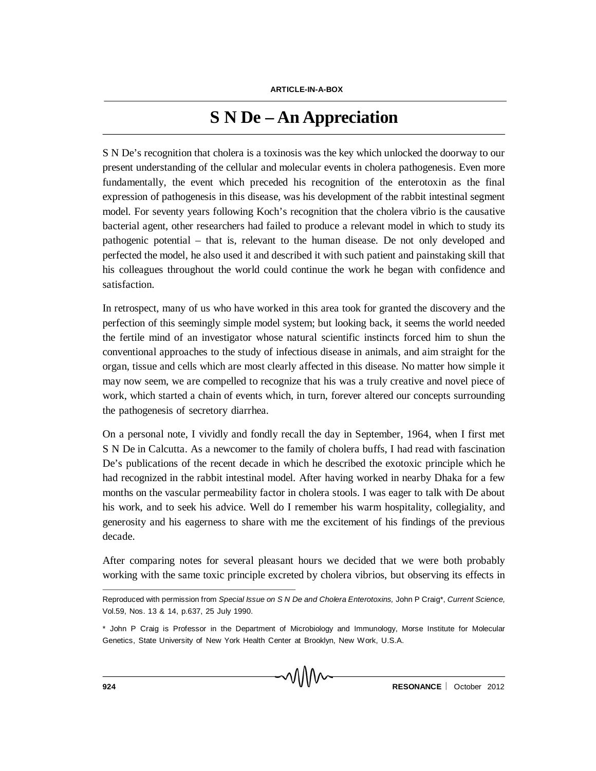## **S N De – An Appreciation**

S N De's recognition that cholera is a toxinosis was the key which unlocked the doorway to our present understanding of the cellular and molecular events in cholera pathogenesis. Even more fundamentally, the event which preceded his recognition of the enterotoxin as the final expression of pathogenesis in this disease, was his development of the rabbit intestinal segment model. For seventy years following Koch's recognition that the cholera vibrio is the causative bacterial agent, other researchers had failed to produce a relevant model in which to study its pathogenic potential – that is, relevant to the human disease. De not only developed and perfected the model, he also used it and described it with such patient and painstaking skill that his colleagues throughout the world could continue the work he began with confidence and satisfaction.

In retrospect, many of us who have worked in this area took for granted the discovery and the perfection of this seemingly simple model system; but looking back, it seems the world needed the fertile mind of an investigator whose natural scientific instincts forced him to shun the conventional approaches to the study of infectious disease in animals, and aim straight for the organ, tissue and cells which are most clearly affected in this disease. No matter how simple it may now seem, we are compelled to recognize that his was a truly creative and novel piece of work, which started a chain of events which, in turn, forever altered our concepts surrounding the pathogenesis of secretory diarrhea.

On a personal note, I vividly and fondly recall the day in September, 1964, when I first met S N De in Calcutta. As a newcomer to the family of cholera buffs, I had read with fascination De's publications of the recent decade in which he described the exotoxic principle which he had recognized in the rabbit intestinal model. After having worked in nearby Dhaka for a few months on the vascular permeability factor in cholera stools. I was eager to talk with De about his work, and to seek his advice. Well do I remember his warm hospitality, collegiality, and generosity and his eagerness to share with me the excitement of his findings of the previous decade.

After comparing notes for several pleasant hours we decided that we were both probably working with the same toxic principle excreted by cholera vibrios, but observing its effects in

Reproduced with permission from *Special Issue on S N De and Cholera Enterotoxins,* John P Craig\*, *Current Science,* Vol.59, Nos. 13 & 14, p.637, 25 July 1990.

<sup>\*</sup> John P Craig is Professor in the Department of Microbiology and Immunology, Morse Institute for Molecular Genetics, State University of New York Health Center at Brooklyn, New Work, U.S.A.